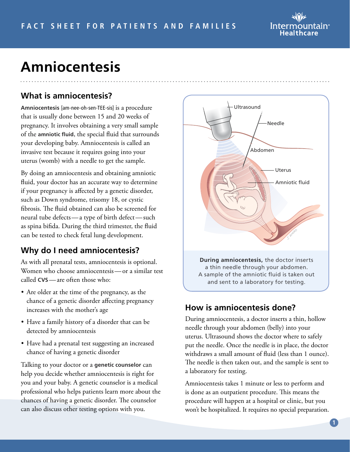

# **Amniocentesis**

### **What is amniocentesis?**

**Amniocentesis** [am-nee-oh-sen-TEE-sis] is a procedure that is usually done between 15 and 20 weeks of pregnancy. It involves obtaining a very small sample of the **amniotic fluid**, the special fluid that surrounds your developing baby. Amniocentesis is called an invasive test because it requires going into your uterus (womb) with a needle to get the sample.

By doing an amniocentesis and obtaining amniotic fluid, your doctor has an accurate way to determine if your pregnancy is affected by a genetic disorder, such as Down syndrome, trisomy 18, or cystic fibrosis. The fluid obtained can also be screened for neural tube defects—a type of birth defect—such as spina bifida. During the third trimester, the fluid can be tested to check fetal lung development.

#### **Why do I need amniocentesis?**

As with all prenatal tests, amniocentesis is optional. Women who choose amniocentesis—or a similar test called **CVS**—are often those who:

- Are older at the time of the pregnancy, as the chance of a genetic disorder affecting pregnancy increases with the mother's age
- Have a family history of a disorder that can be detected by amniocentesis
- Have had a prenatal test suggesting an increased chance of having a genetic disorder

Talking to your doctor or a **genetic counselor** can help you decide whether amniocentesis is right for you and your baby. A genetic counselor is a medical professional who helps patients learn more about the chances of having a genetic disorder. The counselor can also discuss other testing options with you.



#### **How is amniocentesis done?**

During amniocentesis, a doctor inserts a thin, hollow needle through your abdomen (belly) into your uterus. Ultrasound shows the doctor where to safely put the needle. Once the needle is in place, the doctor withdraws a small amount of fluid (less than 1 ounce). The needle is then taken out, and the sample is sent to a laboratory for testing.

Amniocentesis takes 1 minute or less to perform and is done as an outpatient procedure. This means the procedure will happen at a hospital or clinic, but you won't be hospitalized. It requires no special preparation.